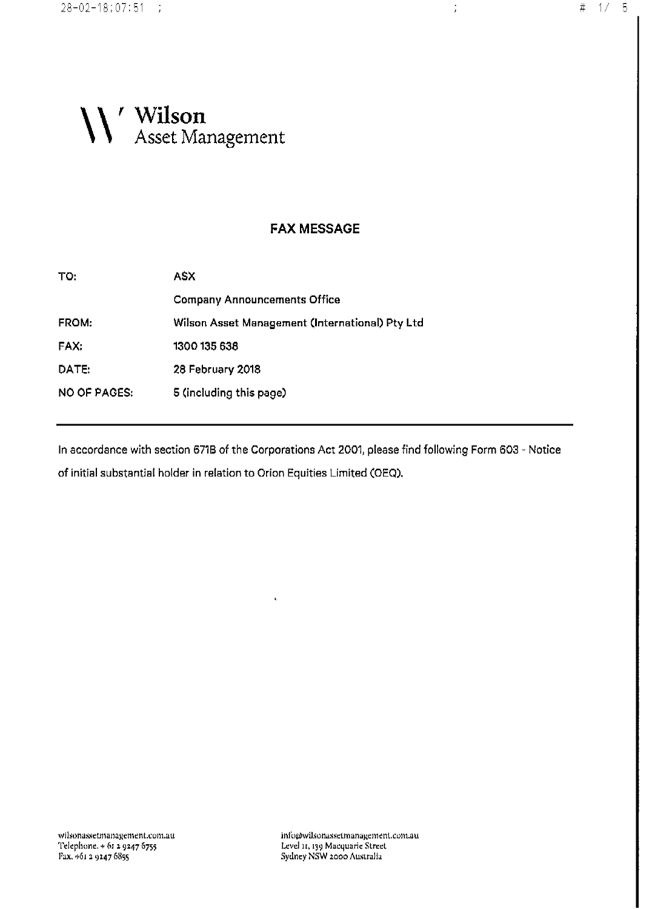$\frac{1}{2}$ 

# Wilson<br>Asset Management

# **FAX MESSAGE**

| ASX                                             |
|-------------------------------------------------|
| <b>Company Announcements Office</b>             |
| Wilson Asset Management (International) Pty Ltd |
| 1300 135 638                                    |
| 28 February 2018                                |
| 5 (including this page)                         |
|                                                 |

In accordance with section 671B of the Corporations Act 2001, please find following Form 603 - Notice of initial substantial holder in relation to Orion Equities Limited (OEQ).

Ń

info@wilsonassetmanagement.com.au<br>Level 11, 139 Macquarie Street<br>Sydney NSW 2000 Australia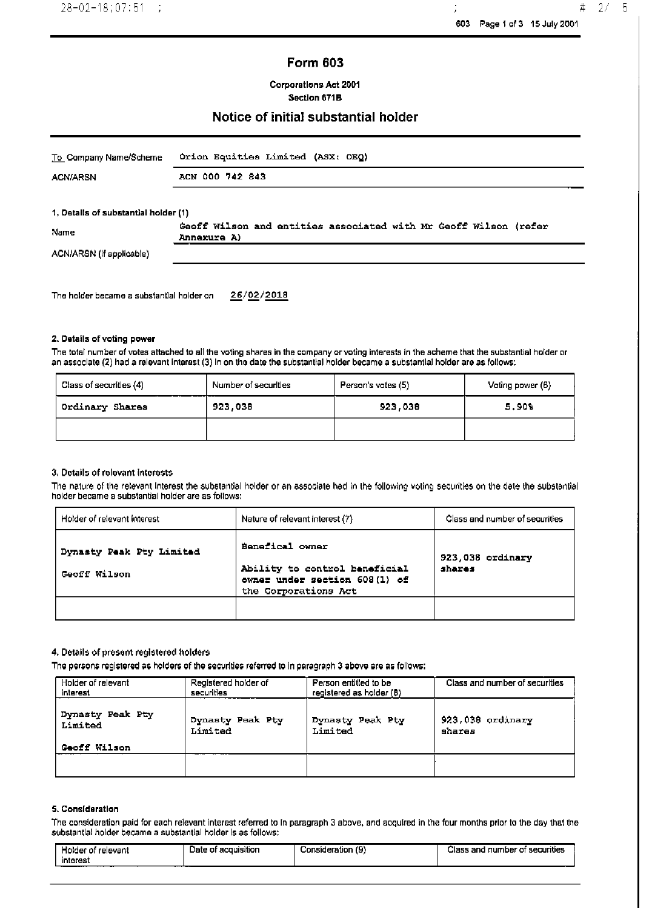÷

 $\#$ 

 $2/5$ 

## **Form 603**

**Corporations Act 2001** Section 671B

## Notice of initial substantial holder

| To Company Name/Scheme               | Orion Equities Limited (ASX: OEQ)                                |  |  |
|--------------------------------------|------------------------------------------------------------------|--|--|
| <b>ACN/ARSN</b>                      | ACN 000 742 843                                                  |  |  |
| 1. Details of substantial holder (1) | Geoff Wilson and entities associated with Mr Geoff Wilson (refer |  |  |
| Name                                 | Annexure A)                                                      |  |  |
| ACN/ARSN (if applicable)             |                                                                  |  |  |
|                                      |                                                                  |  |  |

The holder became a substantial holder on  $26/02/2018$ 

#### 2. Details of voting power

The total number of votes attached to all the voting shares in the company or voting interests in the scheme that the substantial holder or an associate (2) had a relevant interest (3) in on the date the substantial holder became a substantial holder are as follows:

| Class of securities (4) | Number of securities | Person's votes (5) | Voting power (6) |
|-------------------------|----------------------|--------------------|------------------|
| Ordinary Shares         | 923,038              | 923,038            | 5.90%            |
|                         |                      |                    |                  |

#### 3. Details of relevant interests

The nature of the relevant interest the substantial holder or an associate had in the following voting securities on the date the substantial holder became a substantial holder are as follows:

| Holder of relevant interest              | Nature of relevant interest (7)                                                                           | Class and number of securities |
|------------------------------------------|-----------------------------------------------------------------------------------------------------------|--------------------------------|
| Dynasty Peak Pty Limited<br>Geoff Wilson | Benefical owner<br>Ability to control beneficial<br>owner under section 608(1) of<br>the Corporations Act | 923,038 ordinary<br>shares     |
|                                          |                                                                                                           |                                |

#### 4. Details of present registered holders

The persons registered as holders of the securities referred to in paragraph 3 above are as follows:

| Holder of relevant<br>interest                     | Registered holder of<br>securities | Person entitled to be<br>registered as holder (8) | Class and number of securities |
|----------------------------------------------------|------------------------------------|---------------------------------------------------|--------------------------------|
| Dynasty Peak Pty<br>Limited<br><b>Geoff Wilson</b> | Dynasty Peak Pty<br>Limited        | Dynasty Peak Pty<br>Limited                       | $923,038$ ordinary<br>ahares   |
|                                                    |                                    |                                                   |                                |

#### 5. Consideration

The consideration paid for each relevant interest referred to In paragraph 3 above, and acquired in the four months prior to the day that the substantial holder became a substantial holder is as follows:

| Holder<br>r of relevant<br>interest | .<br>Date of acquisition | Consideration<br>ίU. | Class and number of securities |
|-------------------------------------|--------------------------|----------------------|--------------------------------|
| _<br>____<br>----                   |                          |                      |                                |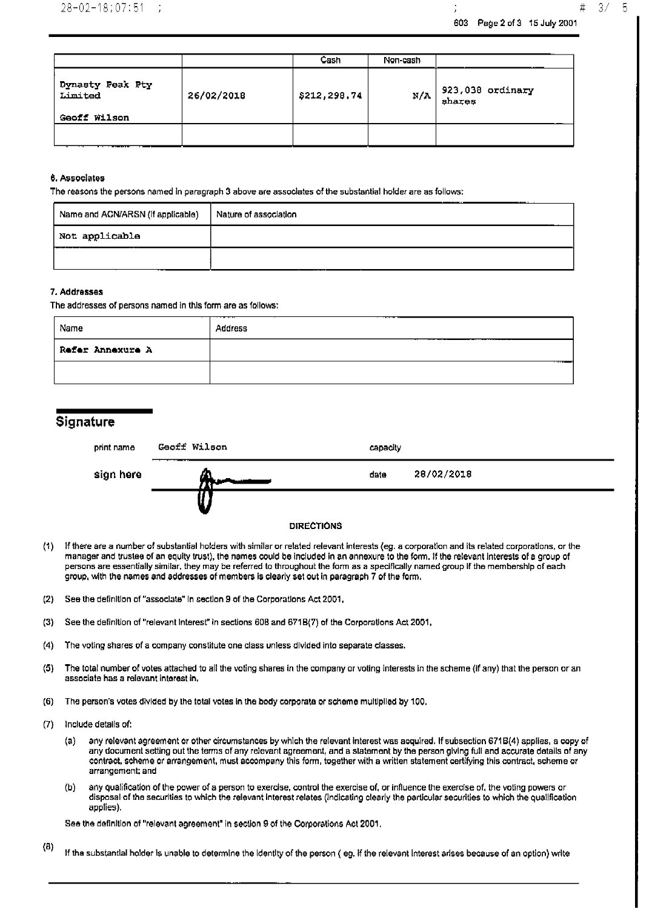

603 Page 2 of 3 15 July 2001

|                                                    |            | Cash         | Non-cash |                            |
|----------------------------------------------------|------------|--------------|----------|----------------------------|
| Dynasty Peak Pty<br>Limited<br><b>Geoff Wilson</b> | 26/02/2018 | \$212,298.74 | N/A      | 923,038 ordinary<br>shares |
|                                                    |            |              |          |                            |

#### 6. Associates

The reasons the persons named in paragraph 3 above are associates of the substantial holder are as follows:

| Name and ACN/ARSN (If applicable) | Nature of association |
|-----------------------------------|-----------------------|
| Not applicable                    |                       |
|                                   |                       |

#### 7. Addresses

The addresses of persons named in this form are as follows:

| Name             | ---<br><b>Address</b> |
|------------------|-----------------------|
| Refer Annexure A | _______<br>______     |
|                  |                       |

# Signature

| print name | Geoff Wilson      | capacity |            |
|------------|-------------------|----------|------------|
| sign here  |                   | date     | 28/02/2018 |
|            | U<br>v            |          |            |
|            | <b>DIRECTIONS</b> |          |            |

- $(1)$ If there are a number of substantial holders with similar or related relevant interests (eg. a corporation and its related corporations, or the manager and trustee of an equity trust), the names could be included in an annexure to the form. If the relevant interests of a group of persons are essentially similar, they may be referred to throughout the form as a specifically named group if the membership of each group, with the names and addresses of members is clearly set out in paragraph 7 of the form.
- $(2)$ See the definition of "associate" in section 9 of the Corporations Act 2001,
- $(3)$ See the definition of "relevant interest" in sections 608 and 671B(7) of the Corporations Act 2001.
- $(4)$ The voting shares of a company constitute one class unless divided into separate classes.
- The total number of votes attached to all the voting shares in the company or voting interests in the scheme (if any) that the person or an  $(5)$ associate has a relevant interest in.
- $(6)$ The person's votes divided by the total votes in the body corporate or scheme multiplied by 100.
- $(7)$ Include details of:
	- any relevant agreement or other circumstances by which the relevant interest was acquired. If subsection 671B(4) applies, a copy of (a) any document setting out the terms of any relevant agreement, and a statement by the person giving full and accurate details of any contract, scheme or arrangement, must accompany this form, together with a written statement certifying this contract, scheme or arrangement: and
	- any qualification of the power of a person to exercise, control the exercise of, or influence the exercise of, the voting powers or  $(b)$ disposal of the securities to which the relevant interest relates (indicating clearly the particular securities to which the qualification applies).

See the definition of "relevant agreement" in section 9 of the Corporations Act 2001.

 $(5)$ If the substantial holder is unable to determine the identity of the person (eg. if the relevant interest arises because of an option) write  $3/$  $\overline{5}$ 

#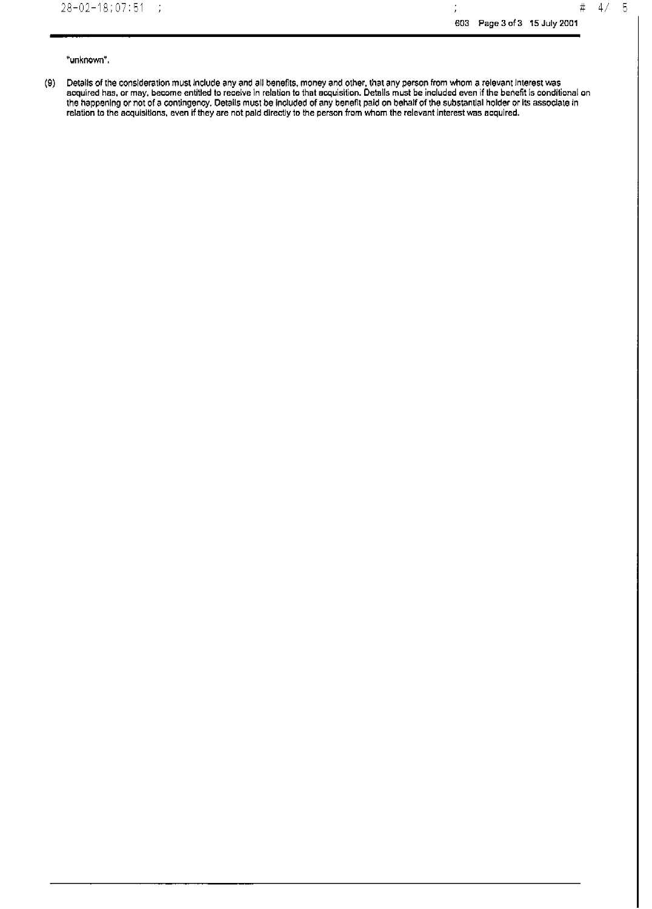$4/5$ 

"unknown".

Details of the consideration must include any and all benefits, money and other, that any person from whom a relevant interest was<br>acquired has, or may, become entitled to receive in relation to that acquisition. Details m  $(9)$ the happening or not of a contingency. Details must be included of any benefit paid on behalf of the substantial holder or its associate in<br>relation to the acquisitions, even if they are not paid directly to the person fro